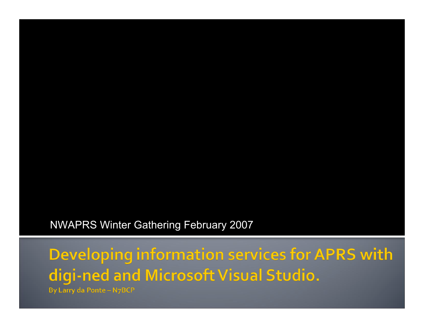NWAPRS Winter Gathering February 2007

Developing information services for APRS with digi-ned and Microsoft Visual Studio.

**By Larry da Ponte - N7BCP**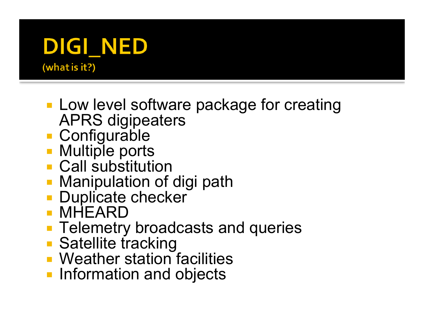#### DIGI\_NED (what is it?)

- **Low level software package for creating** APRS digipeaters
- Configurable
- **Multiple ports**
- **Call substitution**
- **Manipulation of digi path**
- **Duplicate checker**
- MHEARD
- **Telemetry broadcasts and queries**
- **Satellite tracking**
- **Weather station facilities**
- **Information and objects**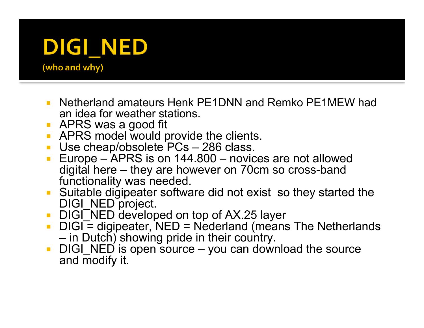## DIGI\_NED

(who and why)

- Netherland amateurs Henk PE1DNN and Remko PE1MEW had an idea for weather stations.
- **APRS** was a good fit
- **APRS model would provide the clients.**
- Use cheap/obsolete PCs 286 class.
- Europe APRS is on 144.800 novices are not allowed digital here – they are however on 70cm so cross-band functionality was needed.
- Suitable digipeater software did not exist so they started the DIGI\_NED project.
- DIGI\_NED developed on top of AX.25 layer
- DIGI = digipeater, NED = Nederland (means The Netherlands in Dutch) showing pride in their country.
- $\blacksquare$  DIGI\_NED is open source you can download the source and modify it.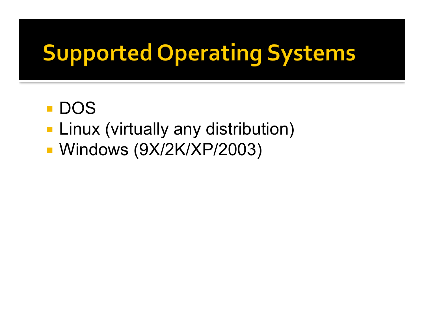## **Supported Operating Systems**

- **DOS**
- **Linux (virtually any distribution)**
- **Windows (9X/2K/XP/2003)**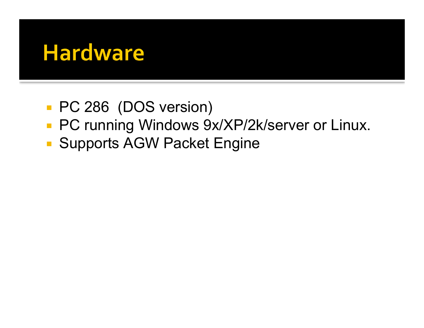#### **Hardware**

- **PC 286 (DOS version)**
- **PC running Windows 9x/XP/2k/server or Linux.**
- **Supports AGW Packet Engine**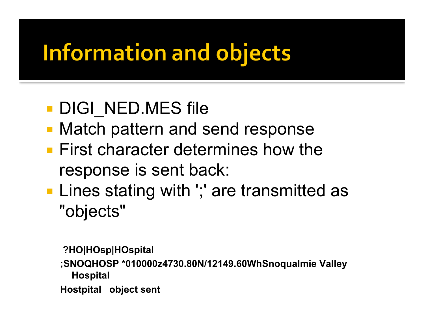### **Information and objects**

#### DIGI\_NED.MES file

- **Match pattern and send response**
- **First character determines how the** response is sent back:
- **Lines stating with ';' are transmitted as** "objects"

 **?HO|HOsp|HOspital**

**;SNOQHOSP \*010000z4730.80N/12149.60WhSnoqualmie Valley Hospital**

**Hostpital object sent**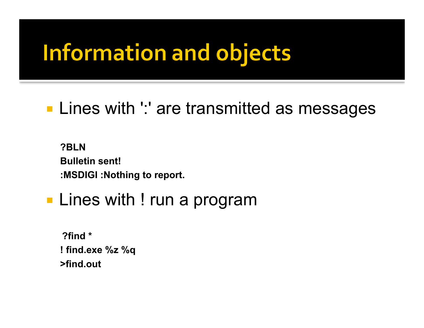### **Information and objects**

#### **Lines with ':' are transmitted as messages**

**?BLN Bulletin sent! :MSDIGI :Nothing to report.**

#### **Lines with ! run a program**

 **?find \* ! find.exe %z %q >find.out**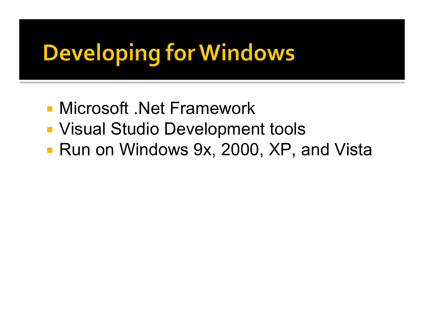## **Developing for Windows**

- Microsoft .Net Framework
- **Visual Studio Development tools**
- Run on Windows 9x, 2000, XP, and Vista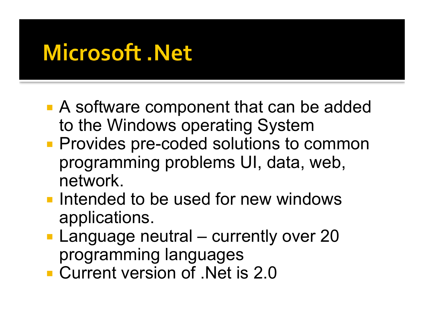### **Microsoft .Net**

- A software component that can be added to the Windows operating System
- **Provides pre-coded solutions to common** programming problems UI, data, web, network.
- **Intended to be used for new windows** applications.
- **Language neutral currently over 20** programming languages
- **Current version of Net is 2.0**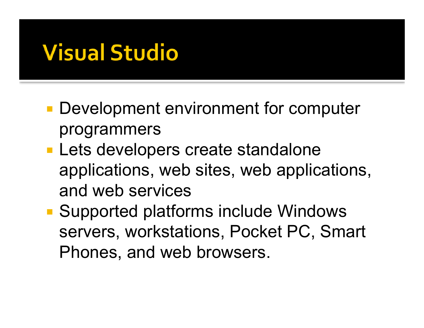### **Visual Studio**

- **Development environment for computer** programmers
- **Lets developers create standalone** applications, web sites, web applications, and web services
- Supported platforms include Windows servers, workstations, Pocket PC, Smart Phones, and web browsers.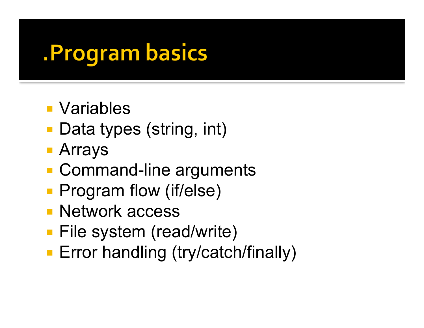#### **. Program basics**

- Variables
- Data types (string, int)
- Arrays
- Command-line arguments
- **Program flow (if/else)**
- **Network access**
- File system (read/write)
- **Error handling (try/catch/finally)**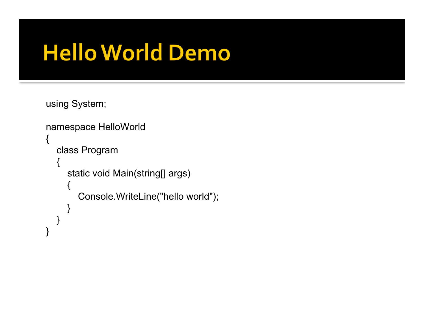### **Hello World Demo**

using System;

```
namespace HelloWorld
\mathbf{f} class Program
\{ static void Main(string[] args)
\{ Console.WriteLine("hello world");
 }
 }
}
```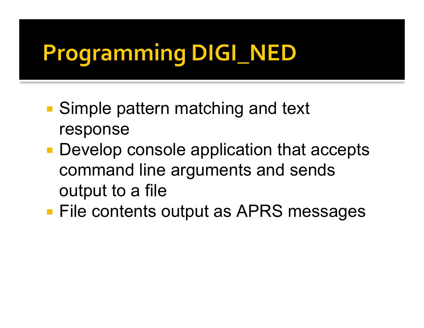## **Programming DIGI\_NED**

- Simple pattern matching and text response
- **Develop console application that accepts** command line arguments and sends output to a file
- **File contents output as APRS messages**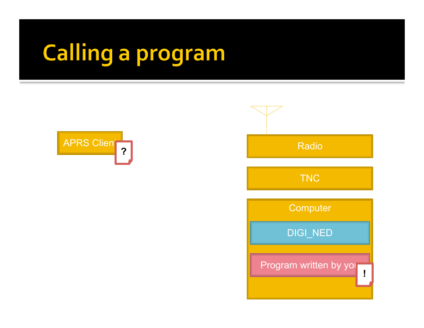# Calling a program



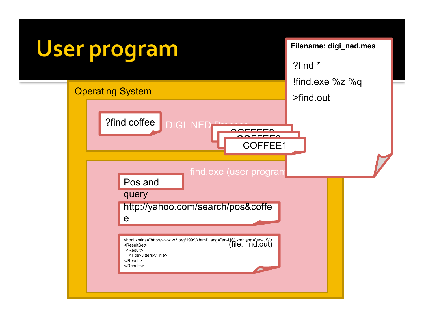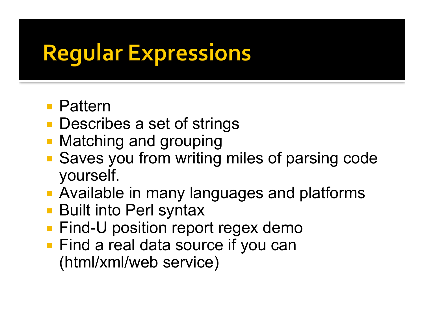### **Regular Expressions**

- Pattern
- **Describes a set of strings**
- **Matching and grouping**
- **Saves you from writing miles of parsing code** yourself.
- **Available in many languages and platforms**
- Built into Perl syntax
- **Find-U position report regex demo**
- **Find a real data source if you can** (html/xml/web service)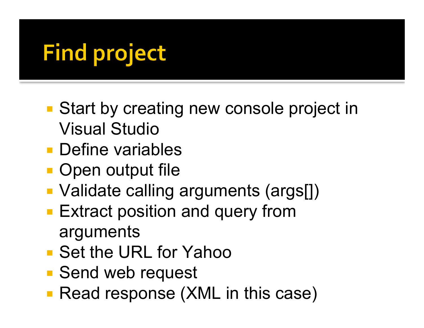## **Find project**

- Start by creating new console project in Visual Studio
- **Define variables**
- **Open output file**
- Validate calling arguments (args[])
- **Extract position and query from** arguments
- Set the URL for Yahoo
- Send web request
- **Read response (XML in this case)**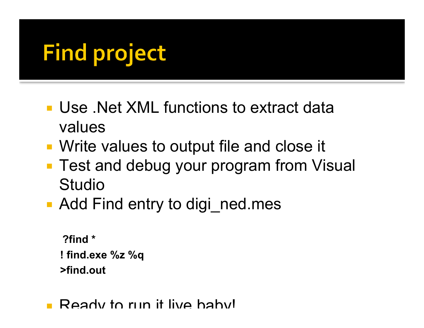## **Find project**

- Use .Net XML functions to extract data values
- Write values to output file and close it
- **Test and debug your program from Visual** Studio
- Add Find entry to digi ned.mes

**?find \* ! find.exe %z %q >find.out**

**Ready to run it live habyl**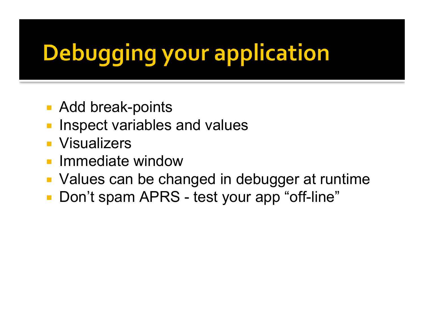# **Debugging your application**

- Add break-points
- Inspect variables and values
- **Visualizers**
- **Immediate window**
- Values can be changed in debugger at runtime
- **Don't spam APRS test your app "off-line"**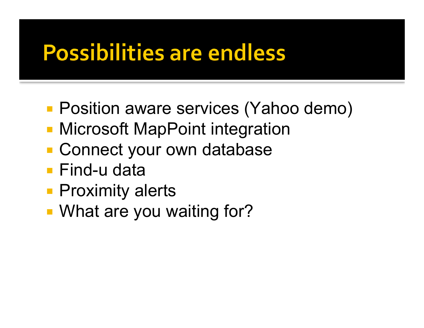#### **Possibilities are endless**

- **Position aware services (Yahoo demo)**
- **Microsoft MapPoint integration**
- **Connect your own database**
- Find-u data
- **Proximity alerts**
- **What are you waiting for?**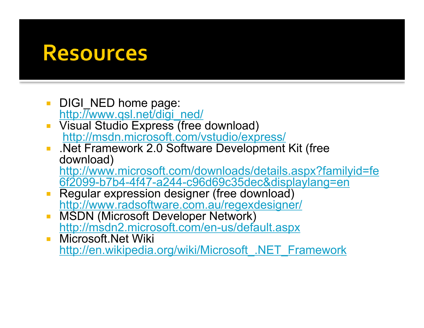#### **Resources**

- DIGI\_NED home page: http://www.qsl.net/digi\_ned/
- **Visual Studio Express (free download)** http://msdn.microsoft.com/vstudio/express/
- .Net Framework 2.0 Software Development Kit (free download) http://www.microsoft.com/downloads/details.aspx?familyid=fe

6f2099-b7b4-4f47-a244-c96d69c35dec&displaylang=en

- **Regular expression designer (free download)** http://www.radsoftware.com.au/regexdesigner/
- **MSDN (Microsoft Developer Network)** http://msdn2.microsoft.com/en-us/default.aspx
- **Nicrosoft.Net Wiki** http://en.wikipedia.org/wiki/Microsoft\_.NET\_Framework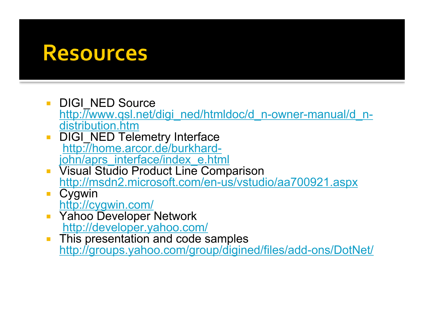#### **Resources**

- DIGI\_NED Source http://www.qsl.net/digi\_ned/htmldoc/d\_n-owner-manual/d\_n-<br>distribution.htm
- DIGI\_NED Telemetry Interface http://home.arcor.de/burkhard-<br>john/aprs\_interface/index\_e.html
- **Visual Studio Product Line Comparison** http://msdn2.microsoft.com/en-us/vstudio/aa700921.aspx
- **Cygwin** http://cygwin.com/
- **F** Yahoo Developer Network http://developer.yahoo.com/
- This presentation and code samples http://groups.yahoo.com/group/digined/files/add-ons/DotNet/